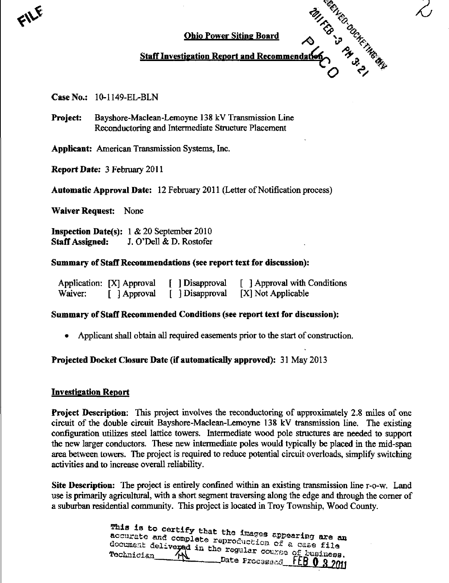



# Staff Investigation Report and Recommend:

#### CaseNo.: 10-1149-EL-BLN

Project: Bayshore-Maclean-Lemoyne 138 kV Transmission Line Reconductoring and Intermediate Stmcture Placement

Applicant: American Transmission Systems, Inc.

ReportDate: 3 February 2011

Automatic Approval Date: 12 February 2011 (Letter of Notification process)

Waiver Request: None

Inspection Date(s): 1 & 20 September 2010 Staff Assigned: J. O'Dell & D. Rostofer

#### Summary of Staff Recommendations (see report text for discussion):

|         | Application: [X] Approval | [ ] Disapproval | [ ] Approval with Conditions |
|---------|---------------------------|-----------------|------------------------------|
| Waiver: | [ ] Approval              | [ ] Disapproval | [X] Not Applicable           |

## Summary of Staff Recommended Conditions (see report text for discussion):

• Applicant shall obtain all required easements prior to the start of construction.

## Projected Docket Closure Date (if automatically approved): 31 May 2013

#### Investigation Report

**Project Description:** This project involves the reconductoring of approximately 2.8 miles of one circuit of the double circuit Bayshore-Maclean-Lemoyne 138 kV transmission line. The existing configuration utilizes steel lattice towers. Intermediate wood pole stmctures are needed to support the new larger conductors. These new intermediate poles would typically be placed in the mid-span area between towers. The project is required to reduce potential circuit overloads, simplify switching activities and to increase overall reliability.

Site Description: The project is entirely confined within an existing transmission line r-o-w. Land use is primarily agricultural, with a short segment traversing along the edge and through the comer of a suburban residential community. This project is located in Troy Township, Wood County.

> This is to certify that the images appearing are an accurate and complete reproduction of a case file document delivered in the regular course of husiness. Date ProcaBaed FEB 0 3 2011